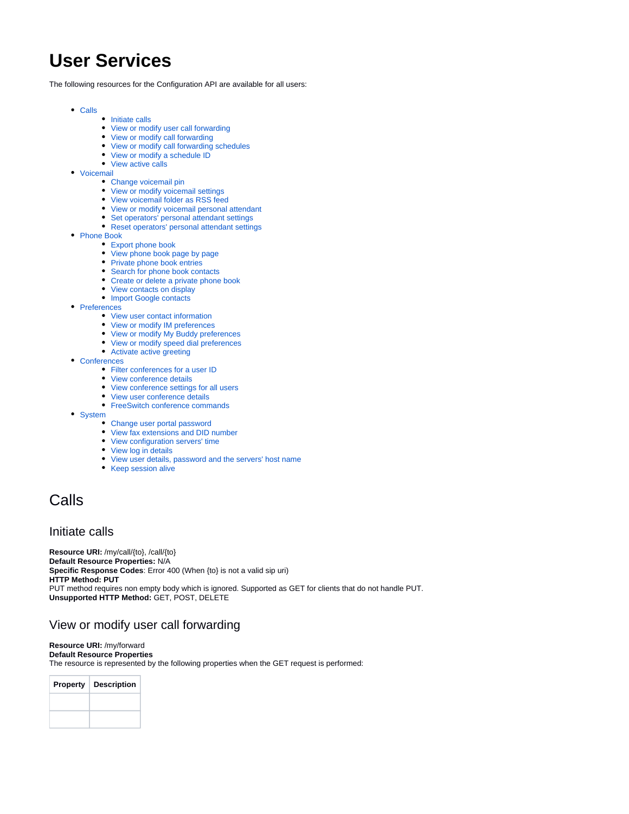# **User Services**

The following resources for the Configuration API are available for all users:

- [Calls](#page-0-0)
	- [Initiate calls](#page-0-1)
		- [View or modify user call forwarding](#page-0-2)
		- [View or modify call forwarding](#page-1-0)
		- [View or modify call forwarding schedules](#page-2-0)
		- [View or modify a schedule ID](#page-2-1)
		- [View active calls](#page-3-0)
- [Voicemail](#page-3-1)
	- [Change voicemail pin](#page-3-2)
	- [View or modify voicemail settings](#page-4-0)
	- [View voicemail folder as RSS feed](#page-4-1)
	- [View or modify voicemail personal attendant](#page-5-0)
	- [Set operators' personal attendant settings](#page-6-0)
	- [Reset operators' personal attendant settings](#page-6-1)
- [Phone Book](#page-6-2)
	- [Export phone book](#page-6-3)
	- [View phone book page by page](#page-7-0)
	- [Private phone book entries](#page-8-0)
	- [Search for phone book contacts](#page-9-0)
	- [Create or delete a private phone book](#page-10-0)
	- [View contacts on display](#page-10-1)
	- [Import Google contacts](#page-10-2)
- [Preferences](#page-11-0)
	- [View user contact information](#page-11-1)
	- [View or modify IM preferences](#page-12-0)
	- [View or modify My Buddy preferences](#page-13-0)
	- [View or modify speed dial preferences](#page-13-1)
	- [Activate active greeting](#page-14-0)
- [Conferences](#page-14-1)
	- [Filter conferences for a user ID](#page-14-2)
	- [View conference details](#page-14-3)
	- [View conference settings for all users](#page-16-0)
	- [View user conference details](#page-16-1)
	- [FreeSwitch conference commands](#page-17-0)
- [System](#page-17-1)
	- [Change user portal password](#page-17-2)
	- [View fax extensions and DID number](#page-18-0)
	- [View configuration servers' time](#page-18-1)
	- [View log in details](#page-18-2)
	- [View user details, password and the servers' host name](#page-19-0)
	- [Keep session alive](#page-20-0)

# <span id="page-0-0"></span>Calls

## <span id="page-0-1"></span>Initiate calls

**Resource URI:** /my/call/{to}, /call/{to} **Default Resource Properties:** N/A **Specific Response Codes**: Error 400 (When {to} is not a valid sip uri) **HTTP Method: PUT** PUT method requires non empty body which is ignored. Supported as GET for clients that do not handle PUT. **Unsupported HTTP Method:** GET, POST, DELETE

# <span id="page-0-2"></span>View or modify user call forwarding

**Resource URI:** /my/forward **Default Resource Properties** The resource is represented by the following properties when the GET request is performed:

| <b>Property</b> | <b>Description</b> |
|-----------------|--------------------|
|                 |                    |
|                 |                    |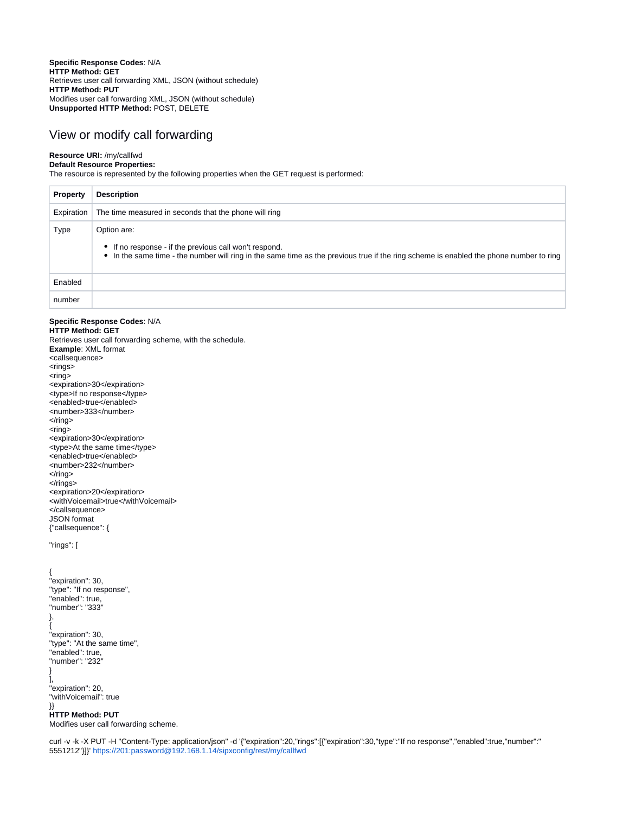**Specific Response Codes**: N/A **HTTP Method: GET** Retrieves user call forwarding XML, JSON (without schedule) **HTTP Method: PUT** Modifies user call forwarding XML, JSON (without schedule) **Unsupported HTTP Method:** POST, DELETE

## <span id="page-1-0"></span>View or modify call forwarding

### **Resource URI:** /my/callfwd

**Default Resource Properties:**

The resource is represented by the following properties when the GET request is performed:

| <b>Property</b> | <b>Description</b>                                                                                                                                                                                              |
|-----------------|-----------------------------------------------------------------------------------------------------------------------------------------------------------------------------------------------------------------|
| Expiration      | The time measured in seconds that the phone will ring                                                                                                                                                           |
| Type            | Option are:<br>• If no response - if the previous call won't respond.<br>• In the same time - the number will ring in the same time as the previous true if the ring scheme is enabled the phone number to ring |
| Enabled         |                                                                                                                                                                                                                 |
| number          |                                                                                                                                                                                                                 |

**Specific Response Codes**: N/A **HTTP Method: GET** Retrieves user call forwarding scheme, with the schedule. **Example**: XML format <callsequence> <rings> <ring> <expiration>30</expiration> <type>If no response</type> <enabled>true</enabled> <number>333</number>  $\langle$ ring>  $<$ ring $>$ <expiration>30</expiration> <type>At the same time</type> <enabled>true</enabled> <number>232</number> </ring>  $\langle$ rings> <expiration>20</expiration> <withVoicemail>true</withVoicemail> </callsequence> JSON format {"callsequence": {

"rings": [

```
{
"expiration": 30,
"type": "If no response",
"enabled": true,
"number": "333"
},
{
"expiration": 30,
"type": "At the same time",
"enabled": true,
"number": "232"
}
],
"expiration": 20,
"withVoicemail": true
}}
HTTP Method: PUT
Modifies user call forwarding scheme.
```
curl -v -k -X PUT -H "Content-Type: application/json" -d '{"expiration":20,"rings":[{"expiration":30,"type":"If no response","enabled":true,"number":" 5551212"}]}'<https://201:password@192.168.1.14/sipxconfig/rest/my/callfwd>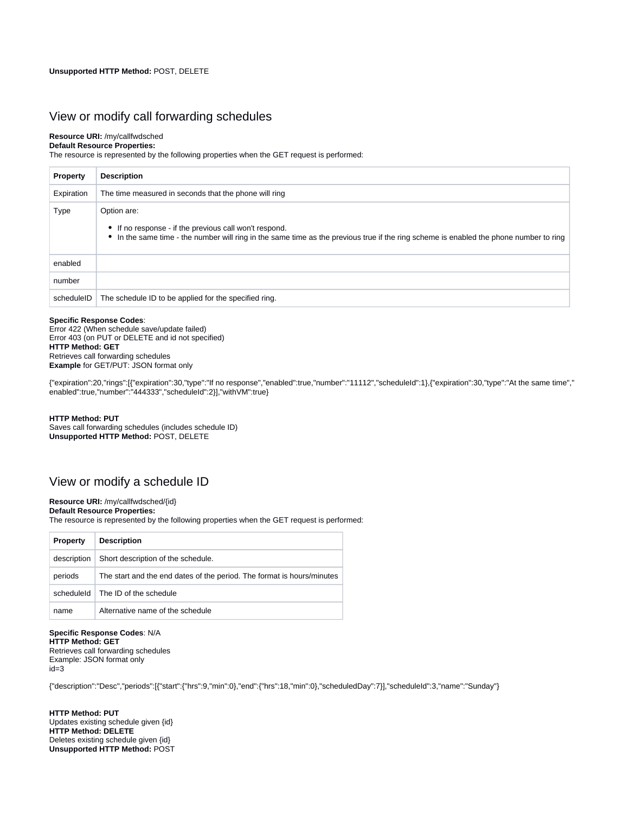## <span id="page-2-0"></span>View or modify call forwarding schedules

### **Resource URI:** /my/callfwdsched

**Default Resource Properties:** The resource is represented by the following properties when the GET request is performed:

| <b>Property</b> | <b>Description</b>                                                                                                                                                                                              |
|-----------------|-----------------------------------------------------------------------------------------------------------------------------------------------------------------------------------------------------------------|
| Expiration      | The time measured in seconds that the phone will ring                                                                                                                                                           |
| Type            | Option are:<br>• If no response - if the previous call won't respond.<br>• In the same time - the number will ring in the same time as the previous true if the ring scheme is enabled the phone number to ring |
| enabled         |                                                                                                                                                                                                                 |
| number          |                                                                                                                                                                                                                 |
| scheduleID      | The schedule ID to be applied for the specified ring.                                                                                                                                                           |

#### **Specific Response Codes**:

Error 422 (When schedule save/update failed) Error 403 (on PUT or DELETE and id not specified) **HTTP Method: GET** Retrieves call forwarding schedules **Example** for GET/PUT: JSON format only

{"expiration":20,"rings":[{"expiration":30,"type":"If no response","enabled":true,"number":"11112","scheduleId":1},{"expiration":30,"type":"At the same time"," enabled":true,"number":"444333","scheduleId":2}],"withVM":true}

#### **HTTP Method: PUT** Saves call forwarding schedules (includes schedule ID) **Unsupported HTTP Method:** POST, DELETE

# <span id="page-2-1"></span>View or modify a schedule ID

#### **Resource URI:** /my/callfwdsched/{id}

**Default Resource Properties:**

The resource is represented by the following properties when the GET request is performed:

| <b>Property</b> | <b>Description</b>                                                     |
|-----------------|------------------------------------------------------------------------|
| description     | Short description of the schedule.                                     |
| periods         | The start and the end dates of the period. The format is hours/minutes |
| scheduleld      | The ID of the schedule                                                 |
| name            | Alternative name of the schedule                                       |

**Specific Response Codes**: N/A **HTTP Method: GET** Retrieves call forwarding schedules Example: JSON format only id=3

{"description":"Desc","periods":[{"start":{"hrs":9,"min":0},"end":{"hrs":18,"min":0},"scheduledDay":7}],"scheduleId":3,"name":"Sunday"}

**HTTP Method: PUT** Updates existing schedule given {id} **HTTP Method: DELETE** Deletes existing schedule given {id} **Unsupported HTTP Method:** POST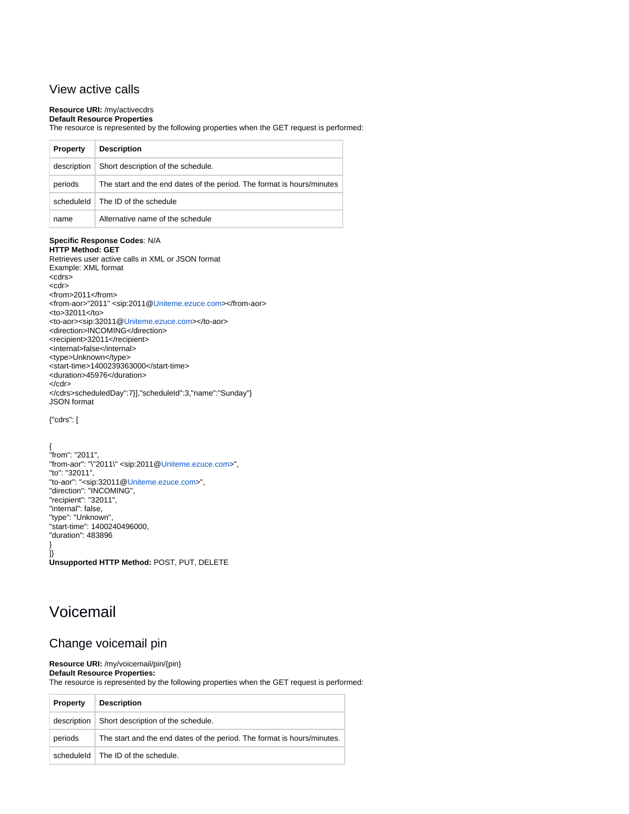# <span id="page-3-0"></span>View active calls

## **Resource URI:** /my/activecdrs

#### **Default Resource Properties**

The resource is represented by the following properties when the GET request is performed:

| <b>Property</b> | <b>Description</b>                                                     |
|-----------------|------------------------------------------------------------------------|
| description     | Short description of the schedule.                                     |
| periods         | The start and the end dates of the period. The format is hours/minutes |
|                 | scheduleld $\vert$ The ID of the schedule                              |
| name            | Alternative name of the schedule                                       |

#### **Specific Response Codes**: N/A

**HTTP Method: GET** Retrieves user active calls in XML or JSON format Example: XML format <cdrs> <cdr> <from>2011</from> <from-aor>"2011" <sip:2011@[Uniteme.ezuce.com>](http://Uniteme.ezuce.com)</from-aor> <to>32011</to> <to-aor><sip:32011@[Uniteme.ezuce.com](http://Uniteme.ezuce.com)></to-aor> <direction>INCOMING</direction> <recipient>32011</recipient> <internal>false</internal> <type>Unknown</type> <start-time>1400239363000</start-time> <duration>45976</duration> </cdr> </cdrs>scheduledDay":7}],"scheduleId":3,"name":"Sunday"} JSON format

{"cdrs": [

{ "from": "2011", "from-aor": "\"2011\" <sip:2011[@Uniteme.ezuce.com](http://Uniteme.ezuce.com)>", "to": "32011", "to-aor": "<sip:32011[@Uniteme.ezuce.com>](http://Uniteme.ezuce.com)", "direction": "INCOMING", "recipient": "32011", "internal": false, "type": "Unknown", "start-time": 1400240496000, "duration": 483896 } ]}

**Unsupported HTTP Method:** POST, PUT, DELETE

# <span id="page-3-1"></span>Voicemail

# <span id="page-3-2"></span>Change voicemail pin

**Resource URI:** /my/voicemail/pin/{pin}

**Default Resource Properties:** The resource is represented by the following properties when the GET request is performed:

| <b>Property</b> | <b>Description</b>                                                      |
|-----------------|-------------------------------------------------------------------------|
| description     | Short description of the schedule.                                      |
| periods         | The start and the end dates of the period. The format is hours/minutes. |
| scheduleld      | The ID of the schedule.                                                 |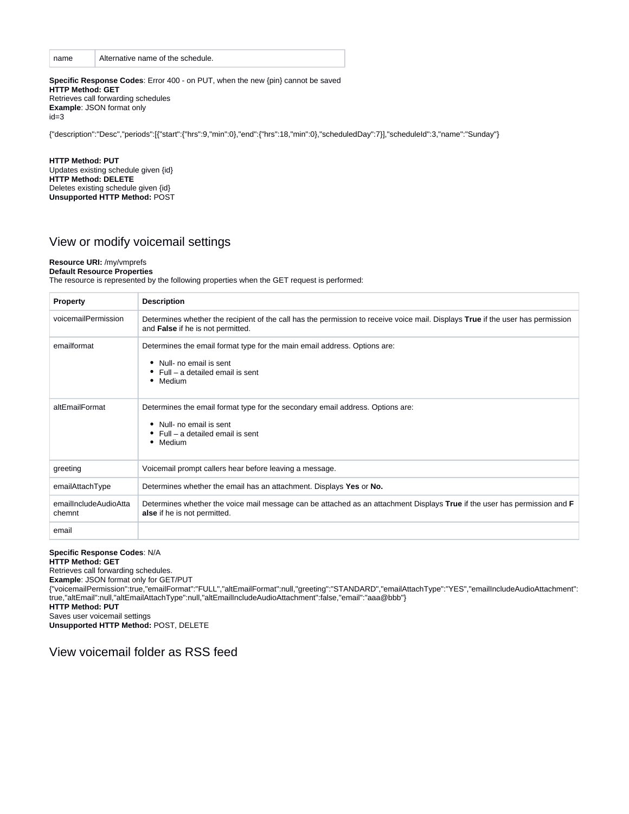| name | Alternative name of the schedule. |
|------|-----------------------------------|
|      |                                   |

**Specific Response Codes**: Error 400 - on PUT, when the new {pin} cannot be saved **HTTP Method: GET** Retrieves call forwarding schedules **Example**: JSON format only id=3

{"description":"Desc","periods":[{"start":{"hrs":9,"min":0},"end":{"hrs":18,"min":0},"scheduledDay":7}],"scheduleId":3,"name":"Sunday"}

**HTTP Method: PUT** Updates existing schedule given {id} **HTTP Method: DELETE** Deletes existing schedule given {id} **Unsupported HTTP Method:** POST

# <span id="page-4-0"></span>View or modify voicemail settings

#### **Resource URI:** /my/vmprefs

**Default Resource Properties**

The resource is represented by the following properties when the GET request is performed:

| <b>Property</b>                 | <b>Description</b>                                                                                                                                                   |
|---------------------------------|----------------------------------------------------------------------------------------------------------------------------------------------------------------------|
| voicemailPermission             | Determines whether the recipient of the call has the permission to receive voice mail. Displays True if the user has permission<br>and False if he is not permitted. |
| emailformat                     | Determines the email format type for the main email address. Options are:<br>Null- no email is sent<br>٠<br>Full – a detailed email is sent<br>• Medium              |
| altEmailFormat                  | Determines the email format type for the secondary email address. Options are:<br>Null- no email is sent<br>٠<br>Full – a detailed email is sent<br>٠<br>• Medium    |
| greeting                        | Voicemail prompt callers hear before leaving a message.                                                                                                              |
| emailAttachType                 | Determines whether the email has an attachment. Displays Yes or No.                                                                                                  |
| emailIncludeAudioAtta<br>chemnt | Determines whether the voice mail message can be attached as an attachment Displays True if the user has permission and F<br>alse if he is not permitted.            |
| email                           |                                                                                                                                                                      |

#### **Specific Response Codes**: N/A

**HTTP Method: GET**

Retrieves call forwarding schedules.

**Example**: JSON format only for GET/PUT

{"voicemailPermission":true,"emailFormat":"FULL","altEmailFormat":null,"greeting":"STANDARD","emailAttachType":"YES","emailIncludeAudioAttachment": true,"altEmail":null,"altEmailAttachType":null,"altEmailIncludeAudioAttachment":false,"email":"aaa@bbb"}

**HTTP Method: PUT**

Saves user voicemail settings

**Unsupported HTTP Method:** POST, DELETE

<span id="page-4-1"></span>View voicemail folder as RSS feed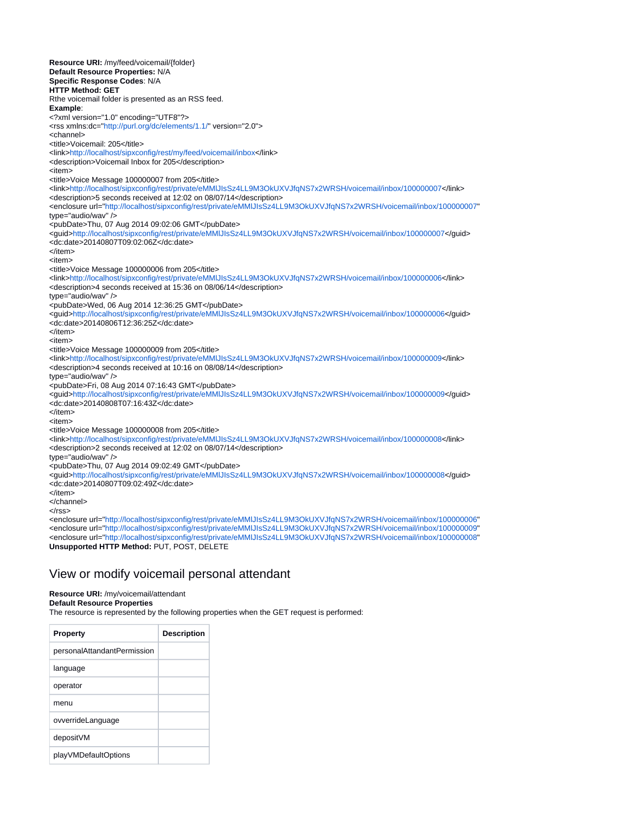**Resource URI:** /my/feed/voicemail/{folder} **Default Resource Properties:** N/A **Specific Response Codes**: N/A **HTTP Method: GET** Rthe voicemail folder is presented as an RSS feed. **Example**: <?xml version="1.0" encoding="UTF8"?> <rss xmlns:dc=["http://purl.org/dc/elements/1.1/](http://purl.org/dc/elements/1.1/)" version="2.0"> <channel> <title>Voicemail: 205</title> <link[>http://localhost/sipxconfig/rest/my/feed/voicemail/inbox<](http://localhost/sipxconfig/rest/my/feed/voicemail/inbox)/link> <description>Voicemail Inbox for 205</description> <item> <title>Voice Message 100000007 from 205</title> <link[>http://localhost/sipxconfig/rest/private/eMMlJIsSz4LL9M3OkUXVJfqNS7x2WRSH/voicemail/inbox/100000007](http://localhost/sipxconfig/rest/private/eMMlJIsSz4LL9M3OkUXVJfqNS7x2WRSH/voicemail/inbox/100000007)</link> <description>5 seconds received at 12:02 on 08/07/14</description> <enclosure url=["http://localhost/sipxconfig/rest/private/eMMlJIsSz4LL9M3OkUXVJfqNS7x2WRSH/voicemail/inbox/100000007"](http://localhost/sipxconfig/rest/private/eMMlJIsSz4LL9M3OkUXVJfqNS7x2WRSH/voicemail/inbox/100000007) type="audio/wav" /> <pubDate>Thu, 07 Aug 2014 09:02:06 GMT</pubDate> <guid><http://localhost/sipxconfig/rest/private/eMMlJIsSz4LL9M3OkUXVJfqNS7x2WRSH/voicemail/inbox/100000007></guid> <dc:date>20140807T09:02:06Z</dc:date> </item> <item> <title>Voice Message 100000006 from 205</title> <link[>http://localhost/sipxconfig/rest/private/eMMlJIsSz4LL9M3OkUXVJfqNS7x2WRSH/voicemail/inbox/100000006](http://localhost/sipxconfig/rest/private/eMMlJIsSz4LL9M3OkUXVJfqNS7x2WRSH/voicemail/inbox/100000006)</link> <description>4 seconds received at 15:36 on 08/06/14</description> type="audio/wav" /> <pubDate>Wed, 06 Aug 2014 12:36:25 GMT</pubDate> <guid><http://localhost/sipxconfig/rest/private/eMMlJIsSz4LL9M3OkUXVJfqNS7x2WRSH/voicemail/inbox/100000006></guid> <dc:date>20140806T12:36:25Z</dc:date> </item> <item> <title>Voice Message 100000009 from 205</title> <link[>http://localhost/sipxconfig/rest/private/eMMlJIsSz4LL9M3OkUXVJfqNS7x2WRSH/voicemail/inbox/100000009](http://localhost/sipxconfig/rest/private/eMMlJIsSz4LL9M3OkUXVJfqNS7x2WRSH/voicemail/inbox/100000009)</link> <description>4 seconds received at 10:16 on 08/08/14</description> type="audio/wav" /> <pubDate>Fri, 08 Aug 2014 07:16:43 GMT</pubDate> <guid><http://localhost/sipxconfig/rest/private/eMMlJIsSz4LL9M3OkUXVJfqNS7x2WRSH/voicemail/inbox/100000009></guid> <dc:date>20140808T07:16:43Z</dc:date> </item> <item> <title>Voice Message 100000008 from 205</title> <link[>http://localhost/sipxconfig/rest/private/eMMlJIsSz4LL9M3OkUXVJfqNS7x2WRSH/voicemail/inbox/100000008](http://localhost/sipxconfig/rest/private/eMMlJIsSz4LL9M3OkUXVJfqNS7x2WRSH/voicemail/inbox/100000008)</link> <description>2 seconds received at 12:02 on 08/07/14</description> type="audio/wav" /> <pubDate>Thu, 07 Aug 2014 09:02:49 GMT</pubDate> <guid><http://localhost/sipxconfig/rest/private/eMMlJIsSz4LL9M3OkUXVJfqNS7x2WRSH/voicemail/inbox/100000008></guid> <dc:date>20140807T09:02:49Z</dc:date> </item> </channel> </rss> <enclosure url=["http://localhost/sipxconfig/rest/private/eMMlJIsSz4LL9M3OkUXVJfqNS7x2WRSH/voicemail/inbox/100000006"](http://localhost/sipxconfig/rest/private/eMMlJIsSz4LL9M3OkUXVJfqNS7x2WRSH/voicemail/inbox/100000006)

<enclosure url=["http://localhost/sipxconfig/rest/private/eMMlJIsSz4LL9M3OkUXVJfqNS7x2WRSH/voicemail/inbox/100000009"](http://localhost/sipxconfig/rest/private/eMMlJIsSz4LL9M3OkUXVJfqNS7x2WRSH/voicemail/inbox/100000009) <enclosure url=["http://localhost/sipxconfig/rest/private/eMMlJIsSz4LL9M3OkUXVJfqNS7x2WRSH/voicemail/inbox/100000008"](http://localhost/sipxconfig/rest/private/eMMlJIsSz4LL9M3OkUXVJfqNS7x2WRSH/voicemail/inbox/100000008) **Unsupported HTTP Method:** PUT, POST, DELETE

# <span id="page-5-0"></span>View or modify voicemail personal attendant

### **Resource URI:** /my/voicemail/attendant

**Default Resource Properties**

The resource is represented by the following properties when the GET request is performed:

| <b>Property</b>             | <b>Description</b> |
|-----------------------------|--------------------|
| personalAttandantPermission |                    |
| language                    |                    |
| operator                    |                    |
| menu                        |                    |
| ovverrideLanguage           |                    |
| depositVM                   |                    |
| playVMDefaultOptions        |                    |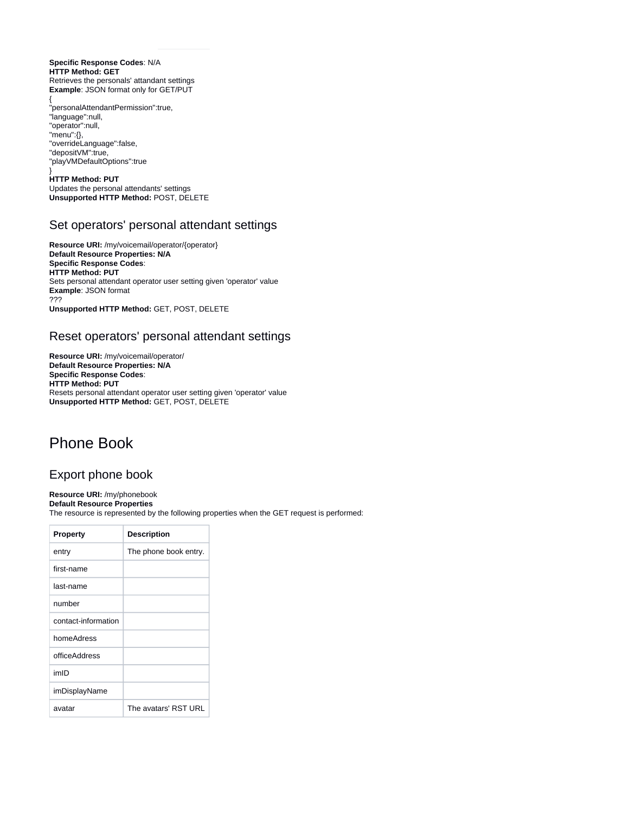**Specific Response Codes**: N/A **HTTP Method: GET** Retrieves the personals' attandant settings **Example: JSON format only for GET/PUT** 

{ "personalAttendantPermission":true, "language":null, "operator":null, "menu":{}, "overrideLanguage":false, "depositVM":true, "playVMDefaultOptions":true

}

**HTTP Method: PUT** Updates the personal attendants' settings **Unsupported HTTP Method:** POST, DELETE

# <span id="page-6-0"></span>Set operators' personal attendant settings

**Resource URI:** /my/voicemail/operator/{operator} **Default Resource Properties: N/A Specific Response Codes**: **HTTP Method: PUT** Sets personal attendant operator user setting given 'operator' value **Example**: JSON format ??? **Unsupported HTTP Method:** GET, POST, DELETE

# <span id="page-6-1"></span>Reset operators' personal attendant settings

**Resource URI:** /my/voicemail/operator/ **Default Resource Properties: N/A Specific Response Codes**: **HTTP Method: PUT** Resets personal attendant operator user setting given 'operator' value **Unsupported HTTP Method:** GET, POST, DELETE

# <span id="page-6-2"></span>Phone Book

# <span id="page-6-3"></span>Export phone book

**Resource URI:** /my/phonebook **Default Resource Properties**

The resource is represented by the following properties when the GET request is performed:

| <b>Property</b>     | <b>Description</b>    |
|---------------------|-----------------------|
| entry               | The phone book entry. |
| first-name          |                       |
| last-name           |                       |
| number              |                       |
| contact-information |                       |
| homeAdress          |                       |
| officeAddress       |                       |
| imID                |                       |
| imDisplayName       |                       |
| avatar              | The avatars' RST URL  |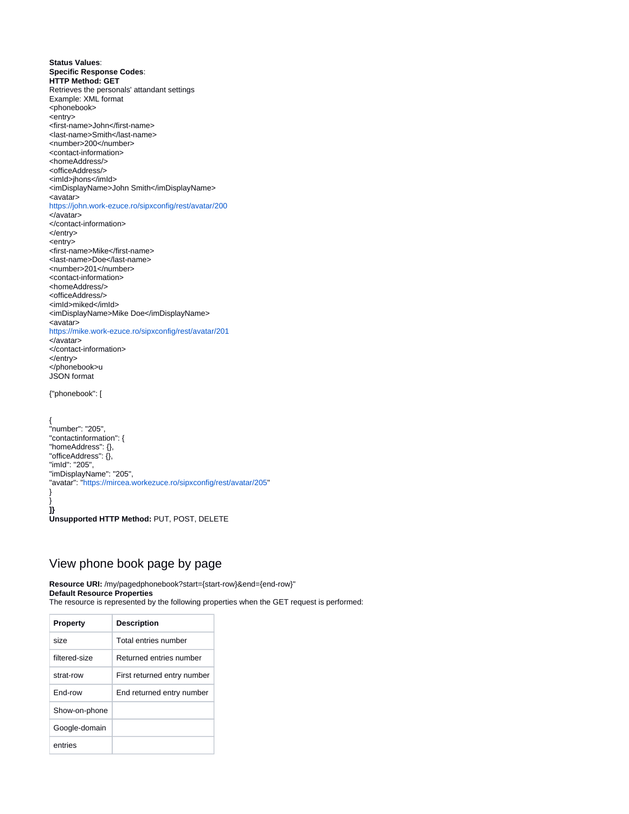**Status Values**: **Specific Response Codes**: **HTTP Method: GET** Retrieves the personals' attandant settings Example: XML format <phonebook> <entry> <first-name>John</first-name> <last-name>Smith</last-name> <number>200</number> <contact-information> <homeAddress/> <officeAddress/> <imId>jhons</imId> <imDisplayName>John Smith</imDisplayName> <avatar> <https://john.work-ezuce.ro/sipxconfig/rest/avatar/200> </avatar> </contact-information> </entry> <entry> <first-name>Mike</first-name> <last-name>Doe</last-name> <number>201</number> <contact-information> <homeAddress/> <officeAddress/> <imId>miked</imId> <imDisplayName>Mike Doe</imDisplayName> <avatar> <https://mike.work-ezuce.ro/sipxconfig/rest/avatar/201> </avatar> </contact-information> </entry> </phonebook>u JSON format {"phonebook": [

{ "number": "205", "contactinformation": { "homeAddress": {}, "officeAddress": {}, "imId": "205", "imDisplayName": "205", "avatar": "<https://mircea.workezuce.ro/sipxconfig/rest/avatar/205>" }

**]} Unsupported HTTP Method:** PUT, POST, DELETE

}

# <span id="page-7-0"></span>View phone book page by page

**Resource URI:** /my/pagedphonebook?start={start-row}&end={end-row}" **Default Resource Properties** The resource is represented by the following properties when the GET request is performed:

| <b>Property</b> | <b>Description</b>          |
|-----------------|-----------------------------|
| size            | Total entries number        |
| filtered-size   | Returned entries number     |
| strat-row       | First returned entry number |
| Fnd-row         | End returned entry number   |
| Show-on-phone   |                             |
| Google-domain   |                             |
| entries         |                             |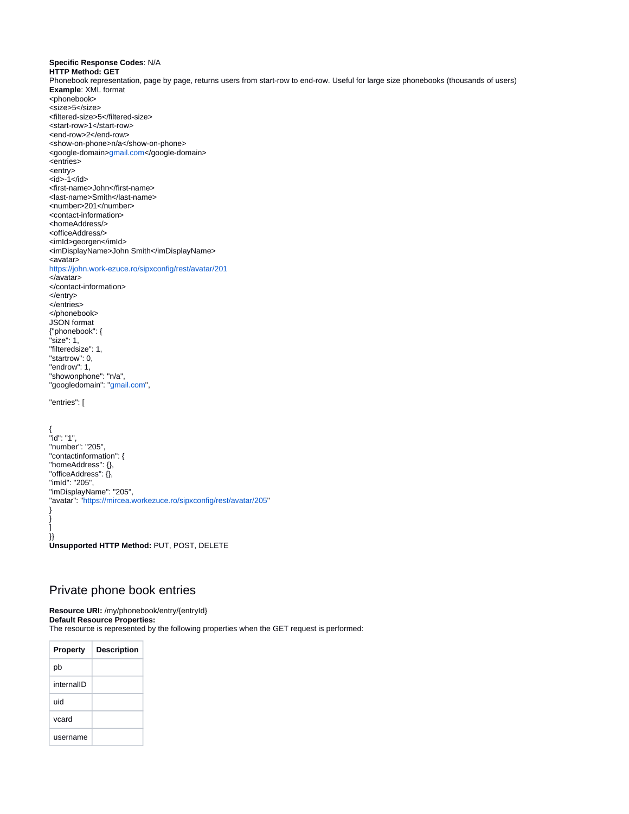```
Specific Response Codes: N/A
HTTP Method: GET
Phonebook representation, page by page, returns users from start-row to end-row. Useful for large size phonebooks (thousands of users)
Example: XML format
<phonebook>
<size>5</size>
<filtered-size>5</filtered-size>
<start-row>1</start-row>
<end-row>2</end-row>
<show-on-phone>n/a</show-on-phone>
<google-domain>gmail.com</google-domain>
<entries>
<entry>
<id>-1</id>
<first-name>John</first-name>
<last-name>Smith</last-name>
<number>201</number>
<contact-information>
<homeAddress/>
<officeAddress/>
<imId>georgen</imId>
<imDisplayName>John Smith</imDisplayName>
<avatar>
https://john.work-ezuce.ro/sipxconfig/rest/avatar/201
</avatar>
</contact-information>
</entry>
</entries>
</phonebook>
JSON format
{"phonebook": {
"size": 1,
"filteredsize": 1,
"startrow": 0,
"endrow": 1,
"showonphone": "n/a",
"googledomain": "gmail.com",
"entries": [
{
"id": "1",
"number": "205",
"contactinformation": {
"homeAddress": {},
"officeAddress": {},
"imId": "205",
"imDisplayName": "205",
"avatar": "https://mircea.workezuce.ro/sipxconfig/rest/avatar/205"
}
}
]
}}
```
**Unsupported HTTP Method:** PUT, POST, DELETE

# <span id="page-8-0"></span>Private phone book entries

**Resource URI:** /my/phonebook/entry/{entryId} **Default Resource Properties:** The resource is represented by the following properties when the GET request is performed:

| <b>Property</b> | <b>Description</b> |
|-----------------|--------------------|
| pb              |                    |
| internalID      |                    |
| uid             |                    |
| vcard           |                    |
| username        |                    |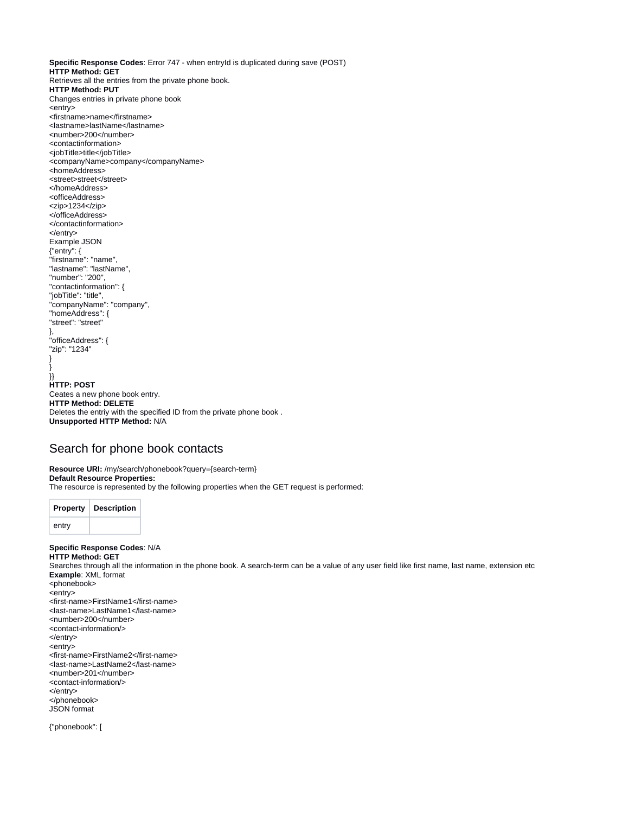**Specific Response Codes**: Error 747 - when entryId is duplicated during save (POST) **HTTP Method: GET** Retrieves all the entries from the private phone book. **HTTP Method: PUT** Changes entries in private phone book <entry> <firstname>name</firstname> <lastname>lastName</lastname> <number>200</number> <contactinformation> <jobTitle>title</jobTitle> <companyName>company</companyName> <homeAddress> <street>street</street> </homeAddress> <officeAddress> <zip>1234</zip> </officeAddress> </contactinformation> </entry> Example JSON {"entry": { "firstname": "name", "lastname": "lastName", "number": "200", "contactinformation": { "jobTitle": "title", "companyName": "company", "homeAddress": { "street": "street" }, "officeAddress": { "zip": "1234" } } }} **HTTP: POST** Ceates a new phone book entry. **HTTP Method: DELETE** Deletes the entriy with the specified ID from the private phone book . **Unsupported HTTP Method:** N/A

## <span id="page-9-0"></span>Search for phone book contacts

**Resource URI:** /my/search/phonebook?query={search-term} **Default Resource Properties:** The resource is represented by the following properties when the GET request is performed:



**Specific Response Codes**: N/A **HTTP Method: GET** Searches through all the information in the phone book. A search-term can be a value of any user field like first name, last name, extension etc **Example**: XML format <phonebook> <entry> <first-name>FirstName1</first-name> <last-name>LastName1</last-name> <number>200</number>

- <contact-information/>
- </entry>
- <entry>
- <first-name>FirstName2</first-name>
- <last-name>LastName2</last-name>
- <number>201</number>
- <contact-information/>
- </entry>
- </phonebook>
- JSON format

{"phonebook": [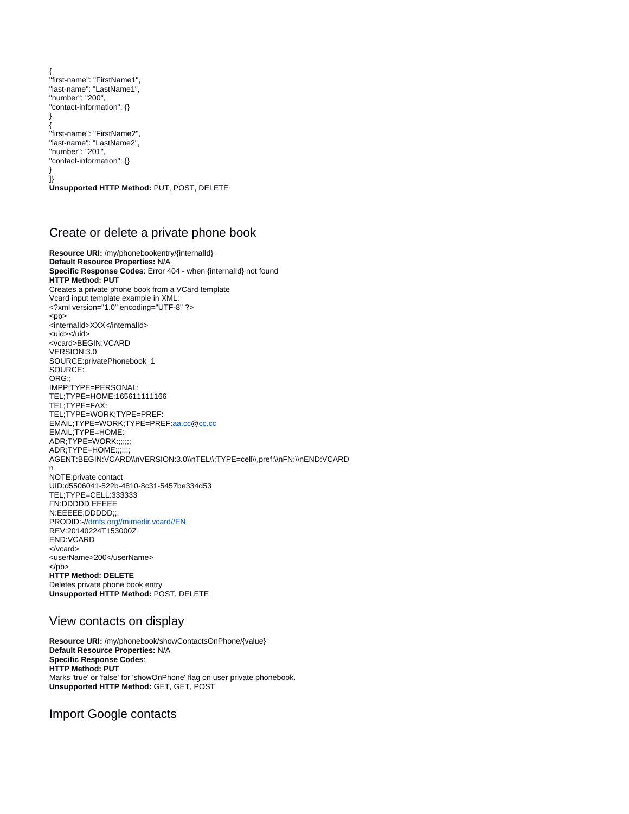```
{
"first-name": "FirstName1",
"last-name": "LastName1",
"number": "200",
"contact-information": {}
},
{
"first-name": "FirstName2",
"last-name": "LastName2",
"number": "201",
"contact-information": {}
}
]}
Unsupported HTTP Method: PUT, POST, DELETE
```
# <span id="page-10-0"></span>Create or delete a private phone book

**Resource URI:** /my/phonebookentry/{internalId} **Default Resource Properties:** N/A **Specific Response Codes**: Error 404 - when {internalId} not found **HTTP Method: PUT** Creates a private phone book from a VCard template Vcard input template example in XML: <?xml version="1.0" encoding="UTF-8" ?> <pb> <internalId>XXX</internalId> <uid></uid> <vcard>BEGIN:VCARD VERSION:3.0 SOURCE:privatePhonebook\_1 SOURCE: ORG:; IMPP;TYPE=PERSONAL: TEL;TYPE=HOME:165611111166 TEL;TYPE=FAX: TEL;TYPE=WORK;TYPE=PREF: EMAIL;TYPE=WORK;TYPE=PREF[:aa.cc@](http://aa.cc)[cc.cc](http://cc.cc) EMAIL;TYPE=HOME: ADR;TYPE=WORK:;;;;;; ADR;TYPE=HOME:; AGENT:BEGIN:VCARD\\nVERSION:3.0\\nTEL\\;TYPE=cell\\,pref:\\nFN:\\nEND:VCARD n NOTE:private contact UID:d5506041-522b-4810-8c31-5457be334d53 TEL;TYPE=CELL:333333 FN:DDDDD EEEEE N:EEEEE;DDDDD;;; PRODID:-//[dmfs.org//mimedir.vcard//EN](http://dmfs.org//mimedir.vcard//EN) REV:20140224T153000Z END:VCARD </vcard> <userName>200</userName> </pb> **HTTP Method: DELETE** Deletes private phone book entry **Unsupported HTTP Method:** POST, DELETE

# <span id="page-10-1"></span>View contacts on display

**Resource URI:** /my/phonebook/showContactsOnPhone/{value} **Default Resource Properties:** N/A **Specific Response Codes**: **HTTP Method: PUT** Marks 'true' or 'false' for 'showOnPhone' flag on user private phonebook. **Unsupported HTTP Method:** GET, GET, POST

# <span id="page-10-2"></span>Import Google contacts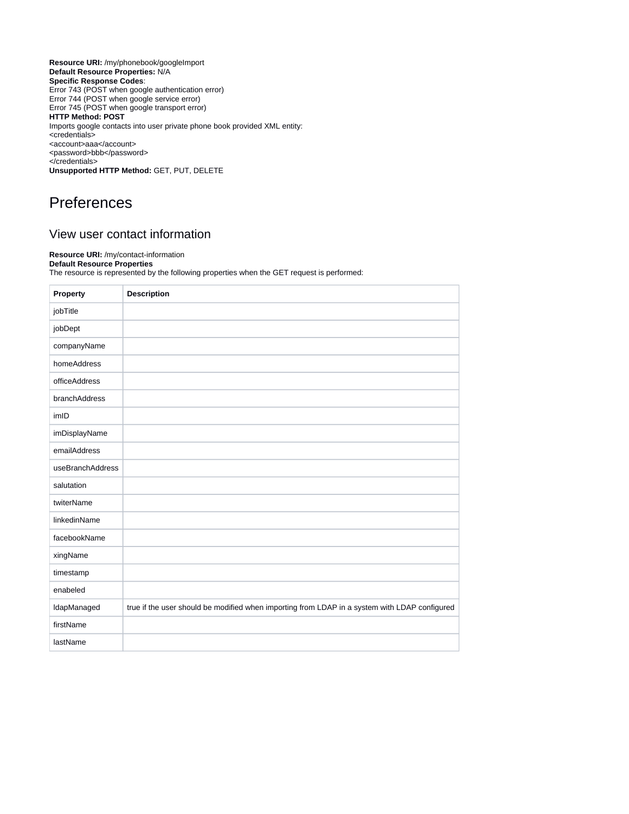**Resource URI:** /my/phonebook/googleImport **Default Resource Properties:** N/A **Specific Response Codes**: Error 743 (POST when google authentication error) Error 744 (POST when google service error) Error 745 (POST when google transport error) **HTTP Method: POST** Imports google contacts into user private phone book provided XML entity: <credentials> <account>aaa</account> <password>bbb</password> </credentials> **Unsupported HTTP Method:** GET, PUT, DELETE

# <span id="page-11-0"></span>**Preferences**

# <span id="page-11-1"></span>View user contact information

### **Resource URI:** /my/contact-information

**Default Resource Properties** The resource is represented by the following properties when the GET request is performed:

| Property            | <b>Description</b>                                                                            |
|---------------------|-----------------------------------------------------------------------------------------------|
| jobTitle            |                                                                                               |
| jobDept             |                                                                                               |
| companyName         |                                                                                               |
| homeAddress         |                                                                                               |
| officeAddress       |                                                                                               |
| branchAddress       |                                                                                               |
| imID                |                                                                                               |
| imDisplayName       |                                                                                               |
| emailAddress        |                                                                                               |
| useBranchAddress    |                                                                                               |
| salutation          |                                                                                               |
| twiterName          |                                                                                               |
| <b>linkedinName</b> |                                                                                               |
| facebookName        |                                                                                               |
| xingName            |                                                                                               |
| timestamp           |                                                                                               |
| enabeled            |                                                                                               |
| IdapManaged         | true if the user should be modified when importing from LDAP in a system with LDAP configured |
| firstName           |                                                                                               |
| lastName            |                                                                                               |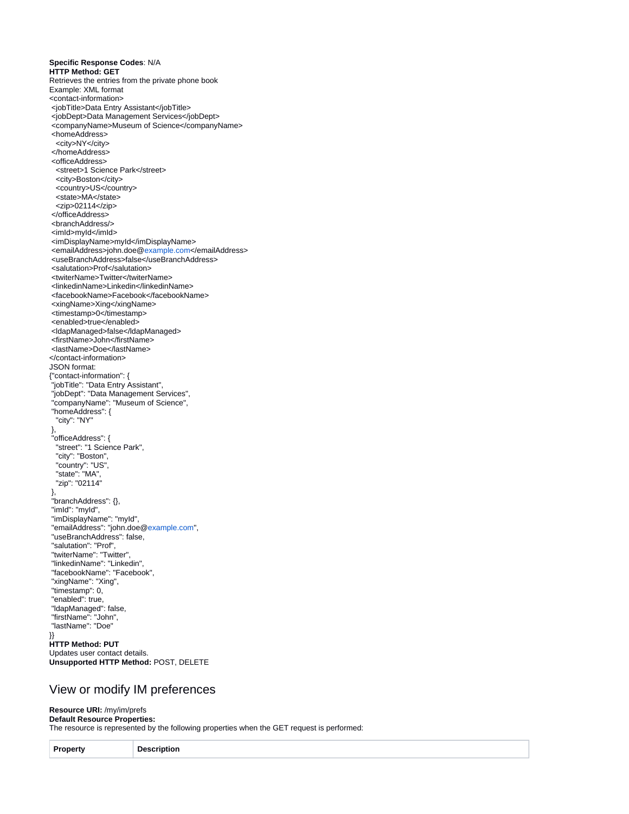**Specific Response Codes**: N/A **HTTP Method: GET** Retrieves the entries from the private phone book Example: XML format <contact-information> <jobTitle>Data Entry Assistant</jobTitle> <jobDept>Data Management Services</jobDept> <companyName>Museum of Science</companyName> <homeAddress> <city>NY</city> </homeAddress> <officeAddress> <street>1 Science Park</street> <city>Boston</city> <country>US</country> <state>MA</state> <zip>02114</zip> </officeAddress> <branchAddress/> <imId>myId</imId> <imDisplayName>myId</imDisplayName> <emailAddress>john.doe@[example.com](http://example.com)</emailAddress> <useBranchAddress>false</useBranchAddress> <salutation>Prof</salutation> <twiterName>Twitter</twiterName> <linkedinName>Linkedin</linkedinName> <facebookName>Facebook</facebookName> <xingName>Xing</xingName> <timestamp>0</timestamp> <enabled>true</enabled> <ldapManaged>false</ldapManaged> <firstName>John</firstName> <lastName>Doe</lastName> </contact-information> JSON format: {"contact-information": { "jobTitle": "Data Entry Assistant", "jobDept": "Data Management Services", "companyName": "Museum of Science", "homeAddress": { "city": "NY" }, "officeAddress": { "street": "1 Science Park", "city": "Boston", "country": "US", "state": "MA", "zip": "02114" }, "branchAddress": {}, "imId": "myId", "imDisplayName": "myId", "emailAddress": "john.doe[@example.com"](http://example.com), "useBranchAddress": false, "salutation": "Prof", "twiterName": "Twitter", "linkedinName": "Linkedin", "facebookName": "Facebook", "xingName": "Xing", "timestamp": 0, "enabled": true, "ldapManaged": false, "firstName": "John", "lastName": "Doe" }} **HTTP Method: PUT** Updates user contact details. **Unsupported HTTP Method:** POST, DELETE

## <span id="page-12-0"></span>View or modify IM preferences

#### **Resource URI:** /my/im/prefs **Default Resource Properties:**

The resource is represented by the following properties when the GET request is performed:

| Property | scription<br>i jer<br>. |
|----------|-------------------------|
|----------|-------------------------|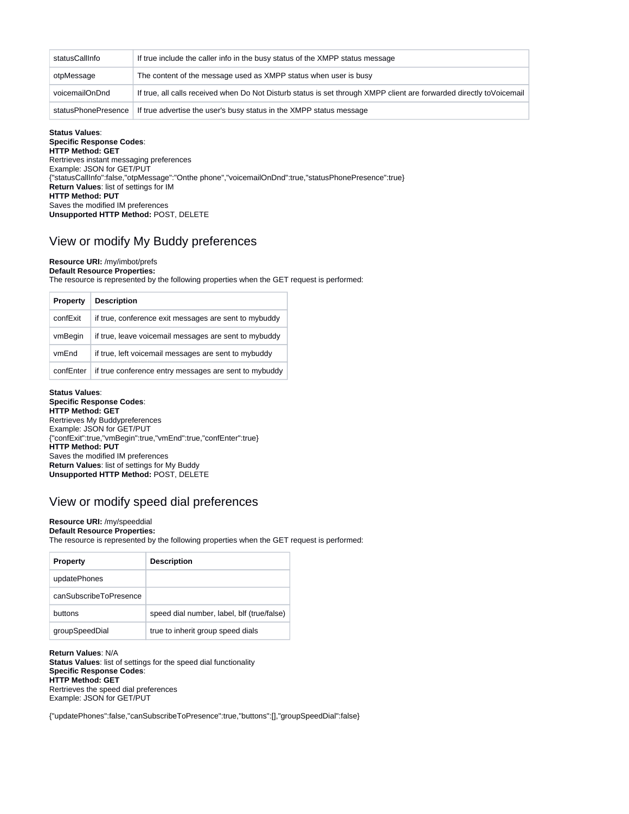| statusCallInfo                                                                                                                          | If true include the caller info in the busy status of the XMPP status message |  |
|-----------------------------------------------------------------------------------------------------------------------------------------|-------------------------------------------------------------------------------|--|
|                                                                                                                                         |                                                                               |  |
| otpMessage                                                                                                                              | The content of the message used as XMPP status when user is busy              |  |
| If true, all calls received when Do Not Disturb status is set through XMPP client are forwarded directly to Voicemail<br>voicemailOnDnd |                                                                               |  |
| statusPhonePresence                                                                                                                     | If true advertise the user's busy status in the XMPP status message           |  |

#### **Status Values**:

**Specific Response Codes**: **HTTP Method: GET** Rertrieves instant messaging preferences Example: JSON for GET/PUT {"statusCallInfo":false,"otpMessage":"Onthe phone","voicemailOnDnd":true,"statusPhonePresence":true} **Return Values**: list of settings for IM **HTTP Method: PUT** Saves the modified IM preferences **Unsupported HTTP Method:** POST, DELETE

# <span id="page-13-0"></span>View or modify My Buddy preferences

#### **Resource URI:** /my/imbot/prefs **Default Resource Properties:**

The resource is represented by the following properties when the GET request is performed:

| Property  | <b>Description</b>                                    |
|-----------|-------------------------------------------------------|
| confExit  | if true, conference exit messages are sent to mybuddy |
| vmBegin   | if true, leave voicemail messages are sent to mybuddy |
| vmEnd     | if true, left voicemail messages are sent to mybuddy  |
| confEnter | if true conference entry messages are sent to mybuddy |

**Status Values**: **Specific Response Codes**: **HTTP Method: GET** Rertrieves My Buddypreferences Example: JSON for GET/PUT {"confExit":true,"vmBegin":true,"vmEnd":true,"confEnter":true} **HTTP Method: PUT** Saves the modified IM preferences **Return Values**: list of settings for My Buddy **Unsupported HTTP Method:** POST, DELETE

## <span id="page-13-1"></span>View or modify speed dial preferences

#### **Resource URI:** /my/speeddial **Default Resource Properties:**

The resource is represented by the following properties when the GET request is performed:

| <b>Property</b>        | <b>Description</b>                         |
|------------------------|--------------------------------------------|
| updatePhones           |                                            |
| canSubscribeToPresence |                                            |
| buttons                | speed dial number, label, blf (true/false) |
| groupSpeedDial         | true to inherit group speed dials          |

**Return Values**: N/A **Status Values**: list of settings for the speed dial functionality **Specific Response Codes**: **HTTP Method: GET** Rertrieves the speed dial preferences Example: JSON for GET/PUT

{"updatePhones":false,"canSubscribeToPresence":true,"buttons":[],"groupSpeedDial":false}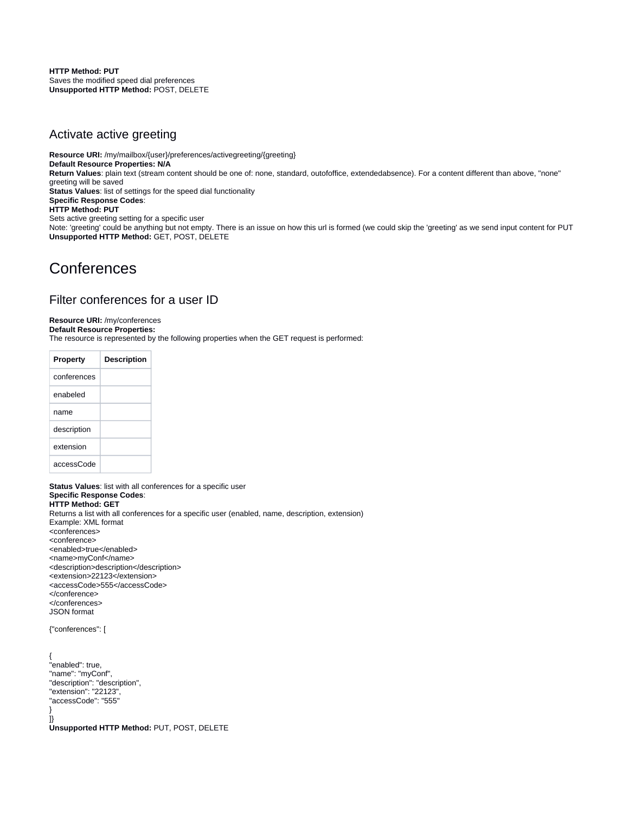**HTTP Method: PUT** Saves the modified speed dial preferences **Unsupported HTTP Method:** POST, DELETE

## <span id="page-14-0"></span>Activate active greeting

**Resource URI:** /my/mailbox/{user}/preferences/activegreeting/{greeting} **Default Resource Properties: N/A Return Values**: plain text (stream content should be one of: none, standard, outofoffice, extendedabsence). For a content different than above, "none" greeting will be saved **Status Values**: list of settings for the speed dial functionality **Specific Response Codes**: **HTTP Method: PUT** Sets active greeting setting for a specific user Note: 'greeting' could be anything but not empty. There is an issue on how this url is formed (we could skip the 'greeting' as we send input content for PUT **Unsupported HTTP Method:** GET, POST, DELETE

# <span id="page-14-1"></span>**Conferences**

## <span id="page-14-2"></span>Filter conferences for a user ID

### **Resource URI:** /my/conferences

**Default Resource Properties:**

The resource is represented by the following properties when the GET request is performed:

| <b>Property</b> | <b>Description</b> |
|-----------------|--------------------|
| conferences     |                    |
| enabeled        |                    |
| name            |                    |
| description     |                    |
| extension       |                    |
| accessCode      |                    |

**Status Values**: list with all conferences for a specific user **Specific Response Codes**: **HTTP Method: GET** Returns a list with all conferences for a specific user (enabled, name, description, extension) Example: XML format <conferences> <conference> <enabled>true</enabled> <name>myConf</name> <description>description</description> <extension>22123</extension> <accessCode>555</accessCode> </conference> </conferences> JSON format

{"conferences": [

{ "enabled": true, "name": "myConf", "description": "description", "extension": "22123", "accessCode": "555" } ]}

<span id="page-14-3"></span>**Unsupported HTTP Method:** PUT, POST, DELETE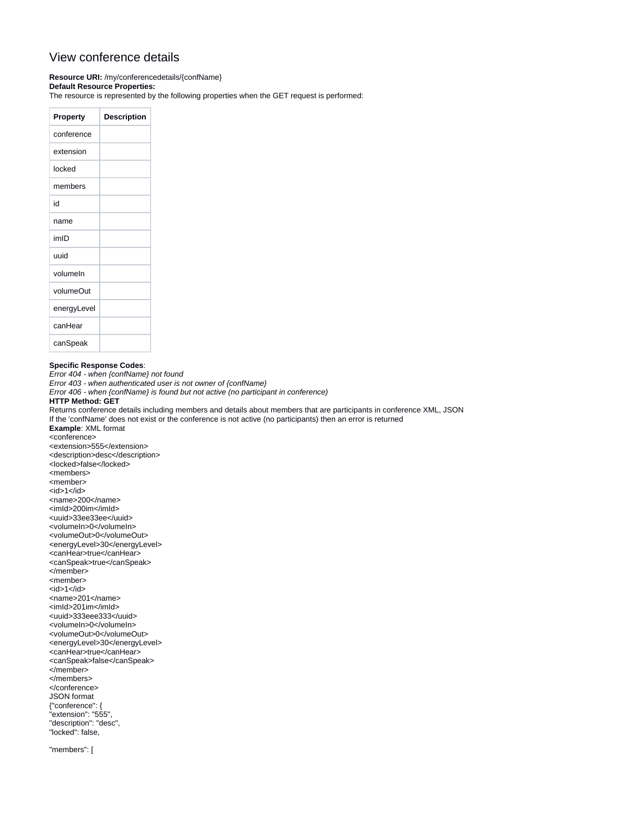# View conference details

**Resource URI:** /my/conferencedetails/{confName} **Default Resource Properties:**

The resource is represented by the following properties when the GET request is performed:

| Property    | <b>Description</b> |
|-------------|--------------------|
| conference  |                    |
| extension   |                    |
| locked      |                    |
| members     |                    |
| id          |                    |
| name        |                    |
| imID        |                    |
| uuid        |                    |
| volumeln    |                    |
| volumeOut   |                    |
| energyLevel |                    |
| canHear     |                    |
| canSpeak    |                    |

#### **Specific Response Codes**:

Error 404 - when {confName} not found Error 403 - when authenticated user is not owner of {confName} Error 406 - when {confName} is found but not active (no participant in conference) **HTTP Method: GET** Returns conference details including members and details about members that are participants in conference XML, JSON If the 'confName' does not exist or the conference is not active (no participants) then an error is returned **Example**: XML format <conference> <extension>555</extension> <description>desc</description> <locked>false</locked> <members> <member>  $<$ id $>1$  $<$ /id $>$ <name>200</name> <imId>200im</imId> <uuid>33ee33ee</uuid> <volumeIn>0</volumeIn> <volumeOut>0</volumeOut> <energyLevel>30</energyLevel> <canHear>true</canHear> <canSpeak>true</canSpeak> </member> <member>  $<$ id>1 $<$ /id> <name>201</name> <imId>201im</imId> <uuid>333eee333</uuid> <volumeIn>0</volumeIn> <volumeOut>0</volumeOut> <energyLevel>30</energyLevel> <canHear>true</canHear> <canSpeak>false</canSpeak> </member> </members> </conference> JSON format {"conference": { "extension": "555", "description": "desc", "locked": false, "members": [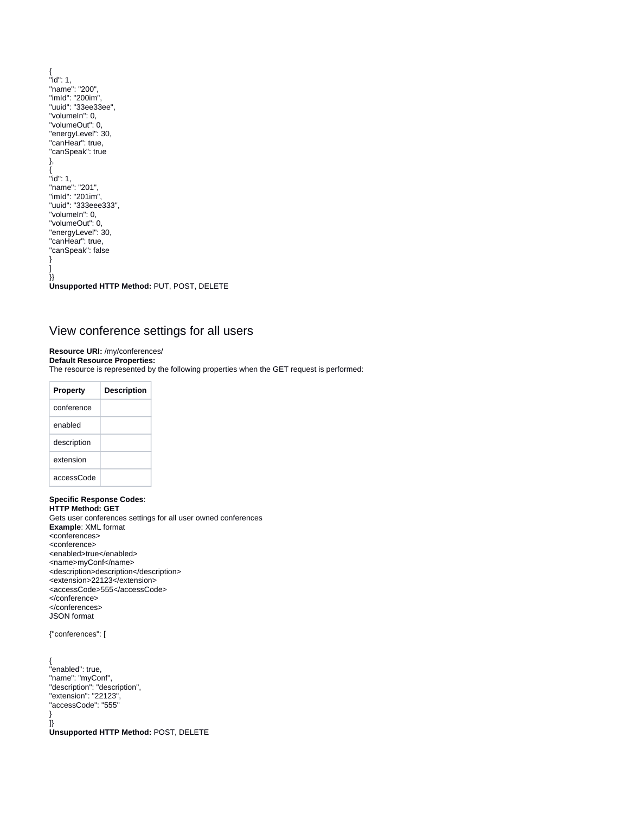```
{
"id": 1,
"name": "200",
"imId": "200im",
"uuid": "33ee33ee",
"volumeIn": 0,
"volumeOut": 0,
"energyLevel": 30,
"canHear": true,
"canSpeak": true
},
{
"id": 1,
"name": "201",
"imId": "201im",
"uuid": "333eee333",
"volumeIn": 0,
"volumeOut": 0,
"energyLevel": 30,
"canHear": true,
"canSpeak": false
}
]
}}
Unsupported HTTP Method: PUT, POST, DELETE
```
# <span id="page-16-0"></span>View conference settings for all users

## **Resource URI:** /my/conferences/

**Default Resource Properties:**

The resource is represented by the following properties when the GET request is performed:

| Property    | <b>Description</b> |
|-------------|--------------------|
| conference  |                    |
| enabled     |                    |
| description |                    |
| extension   |                    |
| accessCode  |                    |

**Specific Response Codes**: **HTTP Method: GET** Gets user conferences settings for all user owned conferences **Example**: XML format <conferences> <conference> <enabled>true</enabled> <name>myConf</name> <description>description</description> <extension>22123</extension> <accessCode>555</accessCode> </conference> </conferences> JSON format

#### {"conferences": [

<span id="page-16-1"></span>{ "enabled": true, "name": "myConf", "description": "description", "extension": "22123", "accessCode": "555" } ]} **Unsupported HTTP Method:** POST, DELETE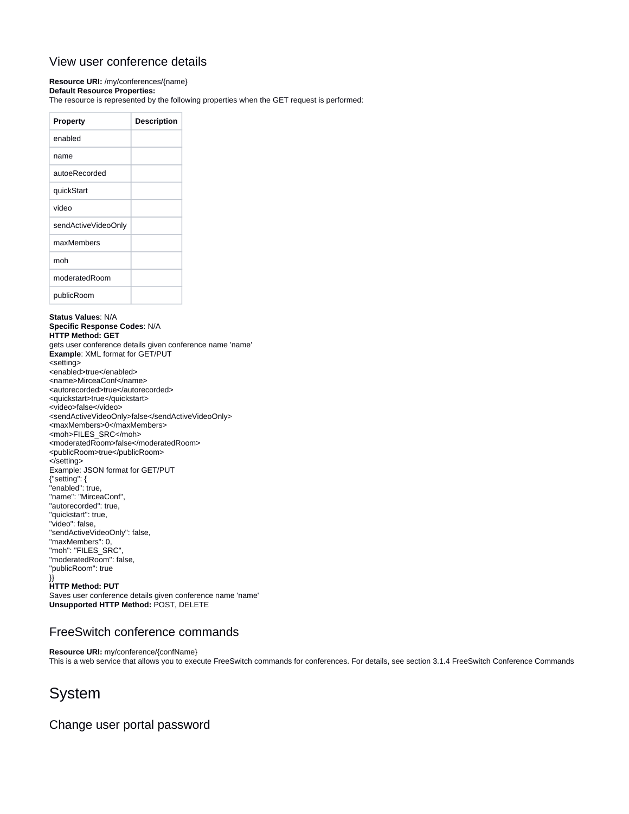# View user conference details

### **Resource URI:** /my/conferences/{name}

**Default Resource Properties:**

The resource is represented by the following properties when the GET request is performed:

| <b>Property</b>     | <b>Description</b> |
|---------------------|--------------------|
| enabled             |                    |
| name                |                    |
| autoeRecorded       |                    |
| quickStart          |                    |
| video               |                    |
| sendActiveVideoOnly |                    |
| maxMembers          |                    |
| moh                 |                    |
| moderatedRoom       |                    |
| publicRoom          |                    |

**Status Values**: N/A **Specific Response Codes**: N/A **HTTP Method: GET** gets user conference details given conference name 'name' **Example**: XML format for GET/PUT <setting> <enabled>true</enabled> <name>MirceaConf</name> <autorecorded>true</autorecorded> <quickstart>true</quickstart> <video>false</video> <sendActiveVideoOnly>false</sendActiveVideoOnly> <maxMembers>0</maxMembers> <moh>FILES\_SRC</moh> <moderatedRoom>false</moderatedRoom> <publicRoom>true</publicRoom> </setting> Example: JSON format for GET/PUT {"setting": { "enabled": true, "name": "MirceaConf", "autorecorded": true, "quickstart": true, "video": false, "sendActiveVideoOnly": false, "maxMembers": 0, "moh": "FILES\_SRC", "moderatedRoom": false, "publicRoom": true }} **HTTP Method: PUT**

Saves user conference details given conference name 'name' **Unsupported HTTP Method:** POST, DELETE

# <span id="page-17-0"></span>FreeSwitch conference commands

**Resource URI:** my/conference/{confName} This is a web service that allows you to execute FreeSwitch commands for conferences. For details, see section 3.1.4 FreeSwitch Conference Commands

# <span id="page-17-1"></span>System

<span id="page-17-2"></span>Change user portal password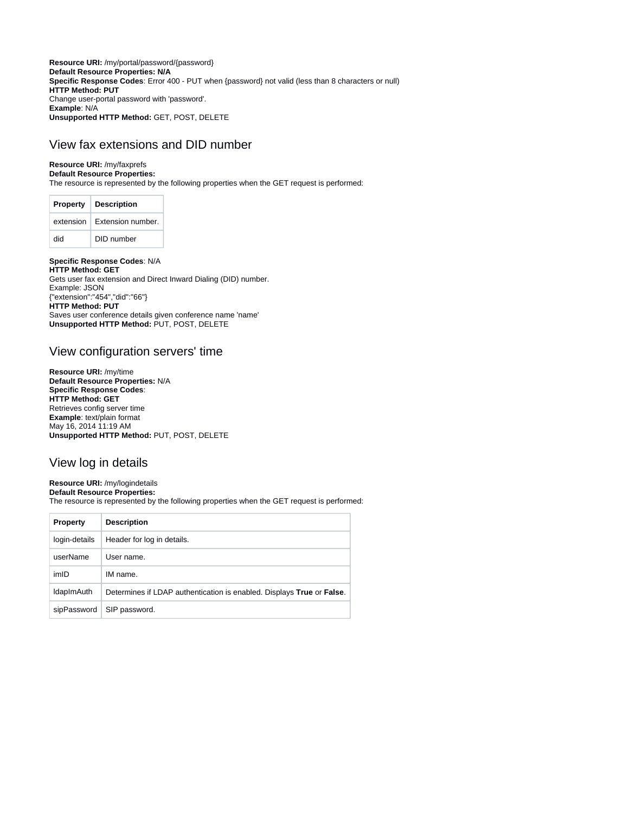**Resource URI:** /my/portal/password/{password} **Default Resource Properties: N/A Specific Response Codes**: Error 400 - PUT when {password} not valid (less than 8 characters or null) **HTTP Method: PUT** Change user-portal password with 'password'. **Example**: N/A **Unsupported HTTP Method:** GET, POST, DELETE

# <span id="page-18-0"></span>View fax extensions and DID number

### **Resource URI:** /my/faxprefs

#### **Default Resource Properties:**

The resource is represented by the following properties when the GET request is performed:

| <b>Property</b> | <b>Description</b> |
|-----------------|--------------------|
| extension       | Extension number.  |
| hih             | DID number         |

### **Specific Response Codes**: N/A

**HTTP Method: GET** Gets user fax extension and Direct Inward Dialing (DID) number. Example: JSON {"extension":"454","did":"66"} **HTTP Method: PUT** Saves user conference details given conference name 'name' **Unsupported HTTP Method:** PUT, POST, DELETE

## <span id="page-18-1"></span>View configuration servers' time

**Resource URI:** /my/time **Default Resource Properties:** N/A **Specific Response Codes**: **HTTP Method: GET** Retrieves config server time **Example**: text/plain format May 16, 2014 11:19 AM **Unsupported HTTP Method:** PUT, POST, DELETE

# <span id="page-18-2"></span>View log in details

## **Resource URI:** /my/logindetails

**Default Resource Properties:** The resource is represented by the following properties when the GET request is performed:

| <b>Property</b>   | <b>Description</b>                                                    |
|-------------------|-----------------------------------------------------------------------|
| login-details     | Header for log in details.                                            |
| userName          | User name.                                                            |
| imID              | IM name.                                                              |
| <b>IdapImAuth</b> | Determines if LDAP authentication is enabled. Displays True or False. |
| sipPassword       | SIP password.                                                         |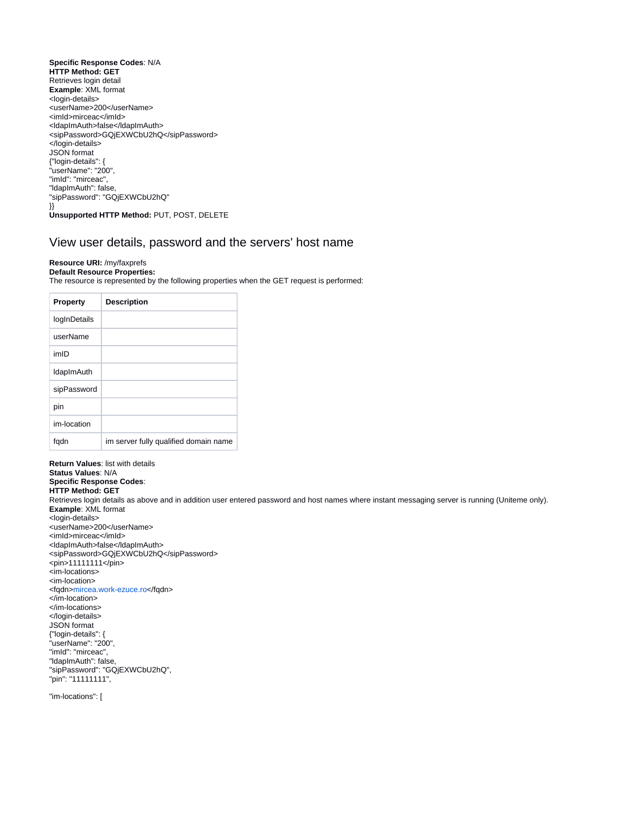**Specific Response Codes**: N/A **HTTP Method: GET** Retrieves login detail **Example**: XML format <login-details> <userName>200</userName> <imId>mirceac</imId> <ldapImAuth>false</ldapImAuth> <sipPassword>GQjEXWCbU2hQ</sipPassword> </login-details> JSON format {"login-details": { "userName": "200", "imId": "mirceac", "ldapImAuth": false, "sipPassword": "GQjEXWCbU2hQ" }} **Unsupported HTTP Method:** PUT, POST, DELETE

## <span id="page-19-0"></span>View user details, password and the servers' host name

#### **Resource URI:** /my/faxprefs **Default Resource Properties:**

The resource is represented by the following properties when the GET request is performed:

| <b>Property</b>   | <b>Description</b>                    |
|-------------------|---------------------------------------|
| logInDetails      |                                       |
| userName          |                                       |
| imID              |                                       |
| <b>IdapImAuth</b> |                                       |
| sipPassword       |                                       |
| pin               |                                       |
| im-location       |                                       |
| fqdn              | im server fully qualified domain name |

**Return Values**: list with details **Status Values**: N/A **Specific Response Codes**: **HTTP Method: GET** Retrieves login details as above and in addition user entered password and host names where instant messaging server is running (Uniteme only). **Example**: XML format <login-details> <userName>200</userName> <imId>mirceac</imId> <ldapImAuth>false</ldapImAuth> <sipPassword>GQjEXWCbU2hQ</sipPassword> <pin>11111111</pin> <im-locations> <im-location> <fqdn[>mircea.work-ezuce.ro](http://mircea.work-ezuce.ro)</fqdn> </im-location> </im-locations> </login-details> JSON format {"login-details": { "userName": "200", "imId": "mirceac", "ldapImAuth": false, "sipPassword": "GQjEXWCbU2hQ", "pin": "11111111",

"im-locations": [